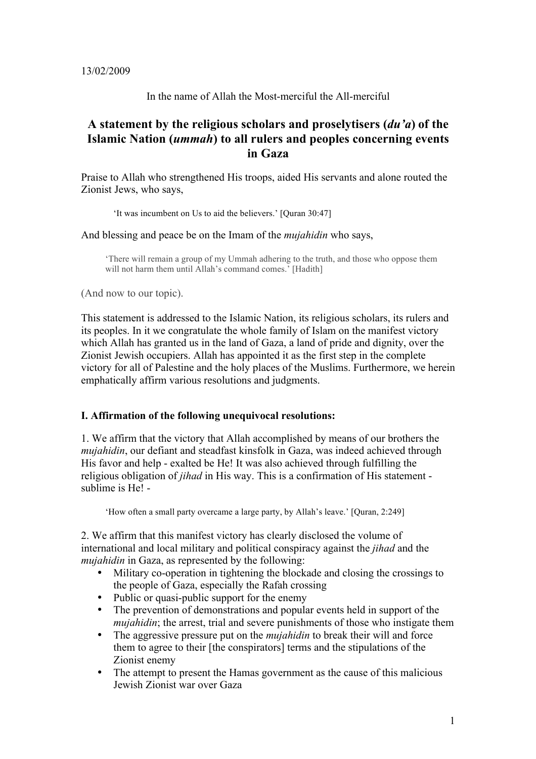13/02/2009

In the name of Allah the Most-merciful the All-merciful

# **A statement by the religious scholars and proselytisers (***du'a***) of the Islamic Nation (***ummah***) to all rulers and peoples concerning events in Gaza**

Praise to Allah who strengthened His troops, aided His servants and alone routed the Zionist Jews, who says,

'It was incumbent on Us to aid the believers.' [Quran 30:47]

And blessing and peace be on the Imam of the *mujahidin* who says,

'There will remain a group of my Ummah adhering to the truth, and those who oppose them will not harm them until Allah's command comes.' [Hadith]

(And now to our topic).

This statement is addressed to the Islamic Nation, its religious scholars, its rulers and its peoples. In it we congratulate the whole family of Islam on the manifest victory which Allah has granted us in the land of Gaza, a land of pride and dignity, over the Zionist Jewish occupiers. Allah has appointed it as the first step in the complete victory for all of Palestine and the holy places of the Muslims. Furthermore, we herein emphatically affirm various resolutions and judgments.

# **I. Affirmation of the following unequivocal resolutions:**

1. We affirm that the victory that Allah accomplished by means of our brothers the *mujahidin*, our defiant and steadfast kinsfolk in Gaza, was indeed achieved through His favor and help - exalted be He! It was also achieved through fulfilling the religious obligation of *jihad* in His way. This is a confirmation of His statement sublime is He! -

'How often a small party overcame a large party, by Allah's leave.' [Quran, 2:249]

2. We affirm that this manifest victory has clearly disclosed the volume of international and local military and political conspiracy against the *jihad* and the *mujahidin* in Gaza, as represented by the following:

- Military co-operation in tightening the blockade and closing the crossings to the people of Gaza, especially the Rafah crossing
- Public or quasi-public support for the enemy<br>• The prevention of demonstrations and popula
- The prevention of demonstrations and popular events held in support of the *mujahidin*; the arrest, trial and severe punishments of those who instigate them
- The aggressive pressure put on the *mujahidin* to break their will and force them to agree to their [the conspirators] terms and the stipulations of the Zionist enemy
- The attempt to present the Hamas government as the cause of this malicious Jewish Zionist war over Gaza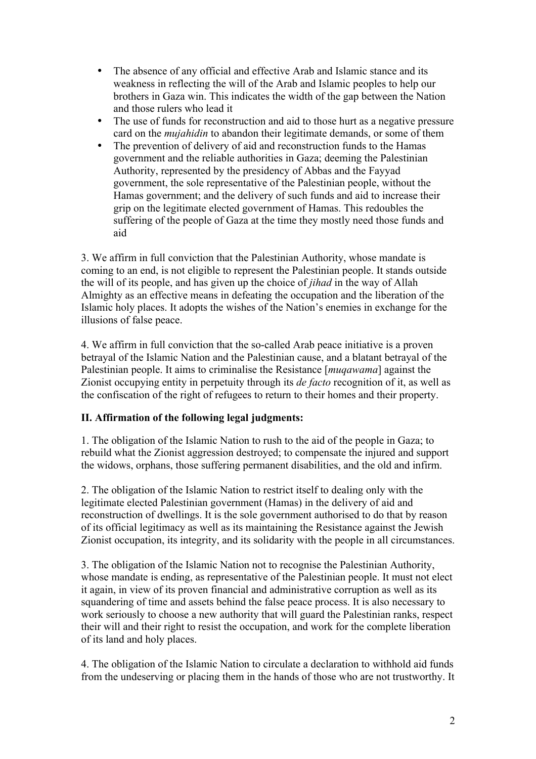- The absence of any official and effective Arab and Islamic stance and its weakness in reflecting the will of the Arab and Islamic peoples to help our brothers in Gaza win. This indicates the width of the gap between the Nation and those rulers who lead it
- The use of funds for reconstruction and aid to those hurt as a negative pressure card on the *mujahidin* to abandon their legitimate demands, or some of them
- The prevention of delivery of aid and reconstruction funds to the Hamas government and the reliable authorities in Gaza; deeming the Palestinian Authority, represented by the presidency of Abbas and the Fayyad government, the sole representative of the Palestinian people, without the Hamas government; and the delivery of such funds and aid to increase their grip on the legitimate elected government of Hamas. This redoubles the suffering of the people of Gaza at the time they mostly need those funds and aid

3. We affirm in full conviction that the Palestinian Authority, whose mandate is coming to an end, is not eligible to represent the Palestinian people. It stands outside the will of its people, and has given up the choice of *jihad* in the way of Allah Almighty as an effective means in defeating the occupation and the liberation of the Islamic holy places. It adopts the wishes of the Nation's enemies in exchange for the illusions of false peace.

4. We affirm in full conviction that the so-called Arab peace initiative is a proven betrayal of the Islamic Nation and the Palestinian cause, and a blatant betrayal of the Palestinian people. It aims to criminalise the Resistance [*muqawama*] against the Zionist occupying entity in perpetuity through its *de facto* recognition of it, as well as the confiscation of the right of refugees to return to their homes and their property.

# **II. Affirmation of the following legal judgments:**

1. The obligation of the Islamic Nation to rush to the aid of the people in Gaza; to rebuild what the Zionist aggression destroyed; to compensate the injured and support the widows, orphans, those suffering permanent disabilities, and the old and infirm.

2. The obligation of the Islamic Nation to restrict itself to dealing only with the legitimate elected Palestinian government (Hamas) in the delivery of aid and reconstruction of dwellings. It is the sole government authorised to do that by reason of its official legitimacy as well as its maintaining the Resistance against the Jewish Zionist occupation, its integrity, and its solidarity with the people in all circumstances.

3. The obligation of the Islamic Nation not to recognise the Palestinian Authority, whose mandate is ending, as representative of the Palestinian people. It must not elect it again, in view of its proven financial and administrative corruption as well as its squandering of time and assets behind the false peace process. It is also necessary to work seriously to choose a new authority that will guard the Palestinian ranks, respect their will and their right to resist the occupation, and work for the complete liberation of its land and holy places.

4. The obligation of the Islamic Nation to circulate a declaration to withhold aid funds from the undeserving or placing them in the hands of those who are not trustworthy. It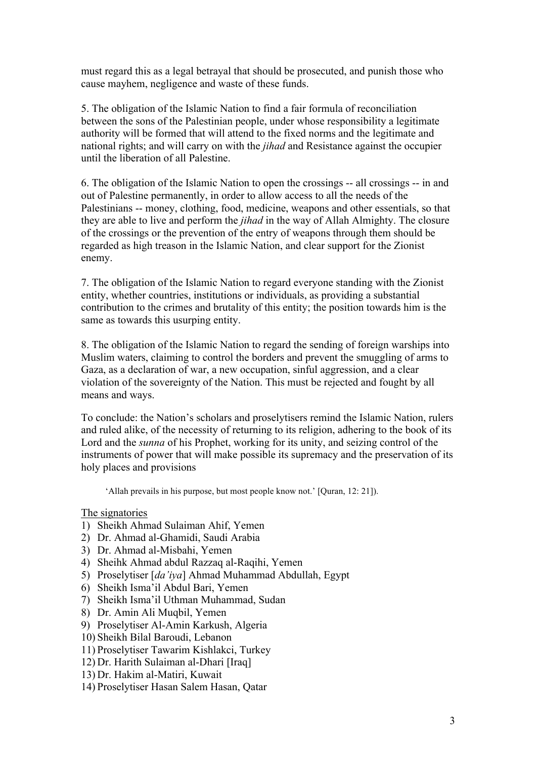must regard this as a legal betrayal that should be prosecuted, and punish those who cause mayhem, negligence and waste of these funds.

5. The obligation of the Islamic Nation to find a fair formula of reconciliation between the sons of the Palestinian people, under whose responsibility a legitimate authority will be formed that will attend to the fixed norms and the legitimate and national rights; and will carry on with the *jihad* and Resistance against the occupier until the liberation of all Palestine.

6. The obligation of the Islamic Nation to open the crossings -- all crossings -- in and out of Palestine permanently, in order to allow access to all the needs of the Palestinians -- money, clothing, food, medicine, weapons and other essentials, so that they are able to live and perform the *jihad* in the way of Allah Almighty. The closure of the crossings or the prevention of the entry of weapons through them should be regarded as high treason in the Islamic Nation, and clear support for the Zionist enemy.

7. The obligation of the Islamic Nation to regard everyone standing with the Zionist entity, whether countries, institutions or individuals, as providing a substantial contribution to the crimes and brutality of this entity; the position towards him is the same as towards this usurping entity.

8. The obligation of the Islamic Nation to regard the sending of foreign warships into Muslim waters, claiming to control the borders and prevent the smuggling of arms to Gaza, as a declaration of war, a new occupation, sinful aggression, and a clear violation of the sovereignty of the Nation. This must be rejected and fought by all means and ways.

To conclude: the Nation's scholars and proselytisers remind the Islamic Nation, rulers and ruled alike, of the necessity of returning to its religion, adhering to the book of its Lord and the *sunna* of his Prophet, working for its unity, and seizing control of the instruments of power that will make possible its supremacy and the preservation of its holy places and provisions

'Allah prevails in his purpose, but most people know not.' [Quran, 12: 21]).

# The signatories

- 1) Sheikh Ahmad Sulaiman Ahif, Yemen
- 2) Dr. Ahmad al-Ghamidi, Saudi Arabia
- 3) Dr. Ahmad al-Misbahi, Yemen
- 4) Sheihk Ahmad abdul Razzaq al-Raqihi, Yemen
- 5) Proselytiser [*da'iya*] Ahmad Muhammad Abdullah, Egypt
- 6) Sheikh Isma'il Abdul Bari, Yemen
- 7) Sheikh Isma'il Uthman Muhammad, Sudan
- 8) Dr. Amin Ali Muqbil, Yemen
- 9) Proselytiser Al-Amin Karkush, Algeria
- 10) Sheikh Bilal Baroudi, Lebanon
- 11) Proselytiser Tawarim Kishlakci, Turkey
- 12) Dr. Harith Sulaiman al-Dhari [Iraq]
- 13) Dr. Hakim al-Matiri, Kuwait
- 14) Proselytiser Hasan Salem Hasan, Qatar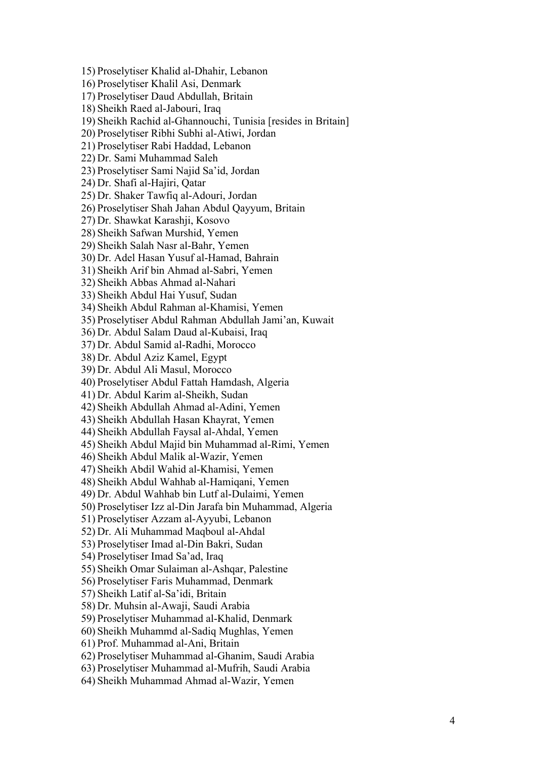15) Proselytiser Khalid al -Dhahir, Lebanon 16) Proselytiser Khalil Asi, Denmark 17) Proselytiser Daud Abdullah, Britain 18) Sheikh Raed al -Jabouri, Iraq 19) Sheikh Rachid al -Ghannouchi, Tunisia [resides in Britain] 20) Proselytiser Ribhi Subhi al -Atiwi, Jordan 21) Proselytiser Rabi Haddad, Lebanon 22) Dr. Sami Muhammad Saleh 23) Proselytiser Sami Najid Sa'id, Jordan 24) Dr. Shafi al -Hajiri, Qatar 25) Dr. Shaker Tawfiq al -Adouri, Jordan 26) Proselytiser Shah Jahan Abdul Qayyu m, Britain 27) Dr. Shawkat Karashji, Kosovo 28) Sheikh Safwan Murshid, Yemen 29) Sheikh Salah Nasr al -Bahr, Yemen 30) Dr. Adel Hasan Yusuf al -Hamad, Bahrain 31) Sheikh Arif bin Ahmad al -Sabri, Yemen 32) Sheikh Ab bas Ahmad al -Nahari 33) Sheikh Abdul Hai Yusuf, Sudan 34) Sheikh Abdul Rahman al -Khamisi, Yemen 35) Proselytiser Abdul Rahman Abdullah Jami'an, Kuwait 36) Dr. Abdul Salam Daud al -Kubaisi, Iraq 37) Dr. Abdul Samid al -Radhi, Morocco 38) Dr. Abdul Aziz Kamel, Egypt 39) Dr. Abdul Ali Masul, Morocco 40) Proselytiser Abdul Fa ttah Hamdash, Algeria 41) Dr. Abdul Karim al -Sheikh, Sudan 42) Sheikh Abdullah Ahmad al -Adini, Yemen 43) Sheikh Abdullah Hasan Khayrat, Yemen 44) Sheikh Abdullah Faysal al -Ahdal, Yemen 45) Sheikh Abdul Majid bin Muhammad al -Rimi, Yemen 46) Sheikh Abdul Malik al -Wazir, Yemen 47) Sheikh Abdil Wahid al -Khamisi, Yemen 48) Sheikh Abdul Wahhab al -Hamiqani, Yemen 49) Dr. Abdul Wahhab bin Lutf al -Dulaimi, Yemen 50) Proselytiser Izz al -Din Jarafa bin Muhammad, Algeria 51) Proselytiser Azzam al -Ayyubi, Lebanon 52) Dr. Ali Muhammad Maqboul al -Ahdal 53) Proselytiser Imad al -Din Bakri, Sudan 54) Proselytiser Imad Sa'ad, Iraq 55) Sheikh Omar Sulaiman al -Ashqar, Palestine 56) Proselytiser Faris Muhammad, Denmark 57) Sheikh Latif al -Sa'idi, Britain 58) Dr. Muhsin al -Awaji, Saudi Arabia 59) Proselytiser Muhammad al -Khalid, Denmark 60) Sheikh Muhammd al -Sadiq Mughlas, Yemen 61) Prof. Muhammad al -Ani, Britain 62) Proselytiser Muhammad al -Ghanim, Saudi Arabia 63) Proselytiser Muhammad al -Mufrih, Saudi Arabia 64) Sheikh Muhammad Ahmad al -Wazir, Yemen